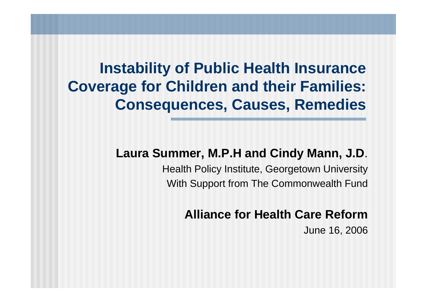#### **Instability of Public Health Insurance Coverage for Children and their Families: Consequences, Causes, Remedies**

#### **Laura Summer, M.P.H and Cindy Mann, J.D**.

Health Policy Institute, Georgetown University With Support from The Commonwealth Fund

#### **Alliance for Health Care Reform**

June 16, 2006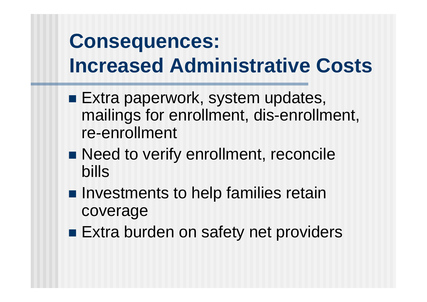# **Consequences: Increased Administrative Costs**

- **Extra paperwork, system updates,** mailings for enrollment, dis-enrollment, re-enrollment
- Need to verify enrollment, reconcile bills
- **Investments to help families retain** coverage
- **Extra burden on safety net providers**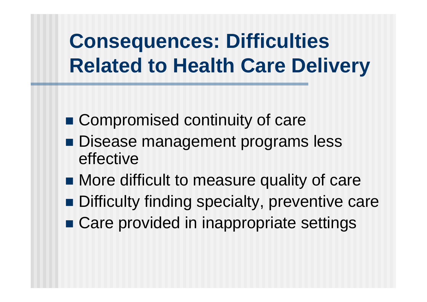# **Consequences: Difficulties Related to Health Care Delivery**

- Compromised continuity of care
- Disease management programs less effective
- More difficult to measure quality of care
- Difficulty finding specialty, preventive care
- Care provided in inappropriate settings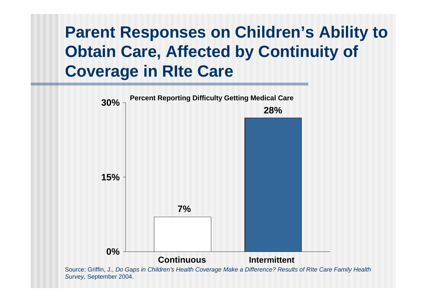## **Parent Responses on Children's Ability to Obtain Care, Affected by Continuity of Coverage in RIte Care**



Source: Griffin, J., *Do Gaps in Children's Health Coverage Make a Difference? Results of RIte Care Family Health Survey*, September 2004.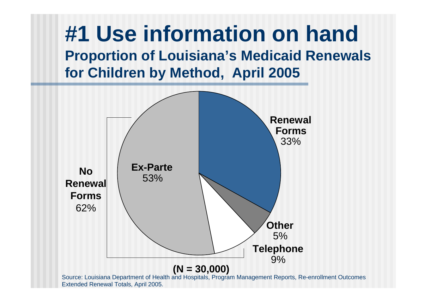

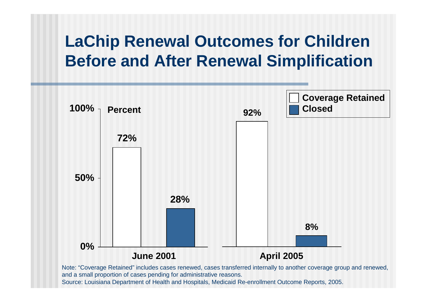#### **LaChip Renewal Outcomes for Children Before and After Renewal Simplification**



Source: Louisiana Department of Health and Hospitals, Medicaid Re-enrollment Outcome Reports, 2005.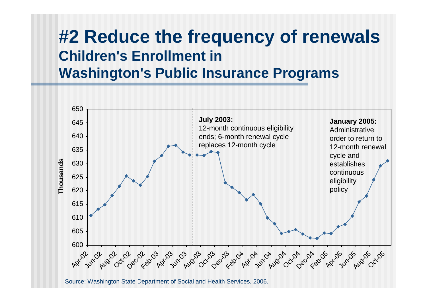### **#2 Reduce the frequency of renewals Children's Enrollment in Washington's Public Insurance Programs**

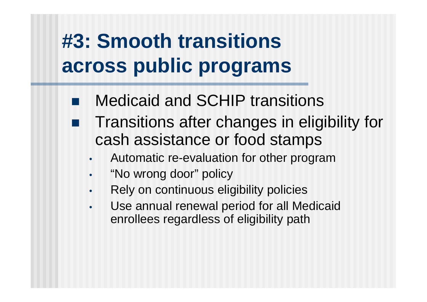## **#3: Smooth transitions across public programs**

- Medicaid and SCHIP transitions
- Transitions after changes in eligibility for cash assistance or food stamps
	- Automatic re-evaluation for other program
	- "No wrong door" policy
	- Rely on continuous eligibility policies
	- Use annual renewal period for all Medicaid enrollees regardless of eligibility path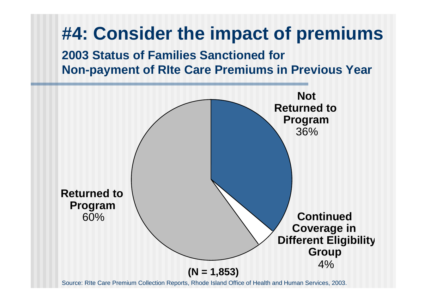